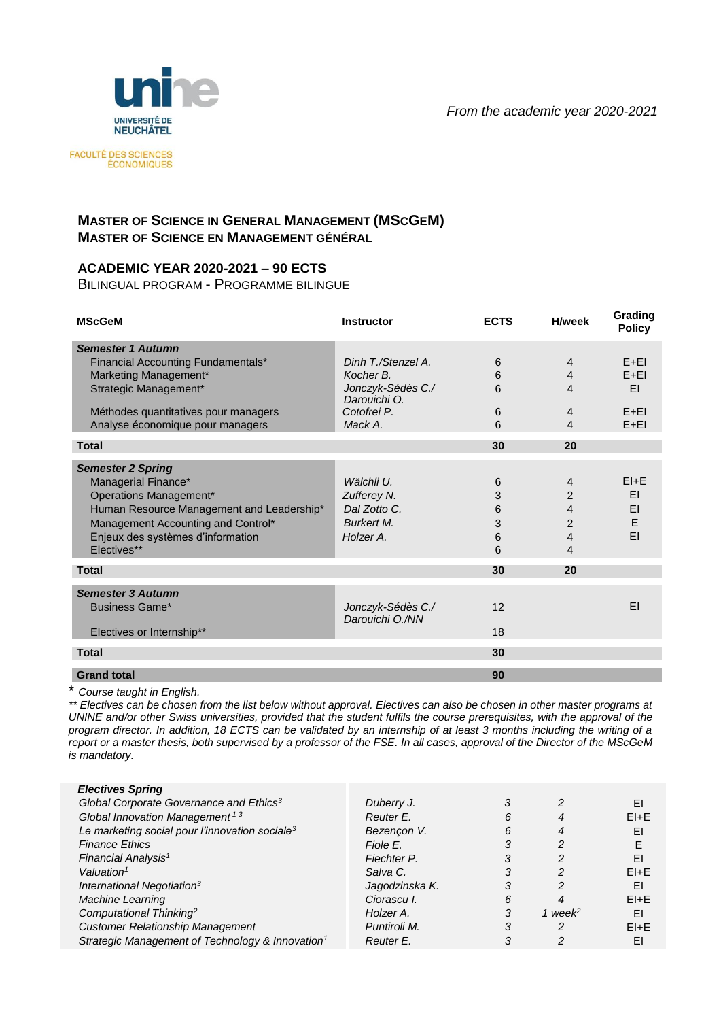*From the academic year 2020-2021*



FACULTÉ DES SCIENCES<br>ÉCONOMIQUES

## **MASTER OF SCIENCE IN GENERAL MANAGEMENT (MSCGEM) MASTER OF SCIENCE EN MANAGEMENT GÉNÉRAL**

## **ACADEMIC YEAR 2020-2021 – 90 ECTS**

BILINGUAL PROGRAM - PROGRAMME BILINGUE

| <b>MScGeM</b>                                    | Instructor                           | <b>ECTS</b> | <b>H</b> /week | Grading<br><b>Policy</b> |
|--------------------------------------------------|--------------------------------------|-------------|----------------|--------------------------|
| <b>Semester 1 Autumn</b>                         |                                      |             |                |                          |
| Financial Accounting Fundamentals*               | Dinh T./Stenzel A.                   | 6           | $\overline{4}$ | $F + FI$                 |
| Marketing Management*                            | Kocher B.                            | 6           | $\overline{4}$ | $E + EI$                 |
| Strategic Management*                            | Jonczyk-Sédès C./<br>Darouichi O.    | 6           | 4              | EI                       |
| Méthodes quantitatives pour managers             | Cotofrei P.                          | 6           | 4              | $E + EI$                 |
| Analyse économique pour managers                 | Mack A.                              | 6           | $\overline{4}$ | $E + EI$                 |
| <b>Total</b>                                     |                                      | 30          | 20             |                          |
| <b>Semester 2 Spring</b>                         |                                      |             |                |                          |
| Managerial Finance*                              | Wälchli U.                           | 6           | $\overline{4}$ | $E1 + E$                 |
| Operations Management*                           | Zufferey N.                          | 3           | 2              | ΕI                       |
| Human Resource Management and Leadership*        | Dal Zotto C.                         | 6           | 4              | FΙ                       |
| Management Accounting and Control*               | <b>Burkert M.</b>                    | 3           | $\overline{2}$ | E                        |
|                                                  | Holzer A.                            |             |                | EI                       |
| Enjeux des systèmes d'information<br>Electives** |                                      | 6           | 4              |                          |
|                                                  |                                      | 6           | 4              |                          |
| <b>Total</b>                                     |                                      | 30          | 20             |                          |
| <b>Semester 3 Autumn</b>                         |                                      |             |                |                          |
| Business Game*                                   | Jonczyk-Sédès C./<br>Darouichi O./NN | 12          |                | FΙ                       |
| Electives or Internship**                        |                                      | 18          |                |                          |
| <b>Total</b>                                     |                                      | 30          |                |                          |
| <b>Grand total</b>                               |                                      | 90          |                |                          |

\* *Course taught in English.*

*\*\* Electives can be chosen from the list below without approval. Electives can also be chosen in other master programs at UNINE and/or other Swiss universities, provided that the student fulfils the course prerequisites, with the approval of the program director. In addition, 18 ECTS can be validated by an internship of at least 3 months including the writing of a report or a master thesis, both supervised by a professor of the FSE. In all cases, approval of the Director of the MScGeM is mandatory.*

| Duberry J.     |   | 2           | ΕI       |
|----------------|---|-------------|----------|
| Reuter E.      | 6 | 4           | $E1 + E$ |
| Bezençon V.    | 6 |             | EI       |
| Fiole E.       | 3 | ႒           |          |
| Fiechter P.    |   |             | EI       |
| Salva C.       |   | 2           | $E1 + E$ |
| Jagodzinska K. |   |             | EI       |
| Ciorascu I.    | 6 |             | $E1 + E$ |
| Holzer A.      | 3 | 1 week $^2$ | EI       |
| Puntiroli M.   | 3 | 2           | $E1 + E$ |
| Reuter E.      |   |             | EI       |
|                |   |             |          |